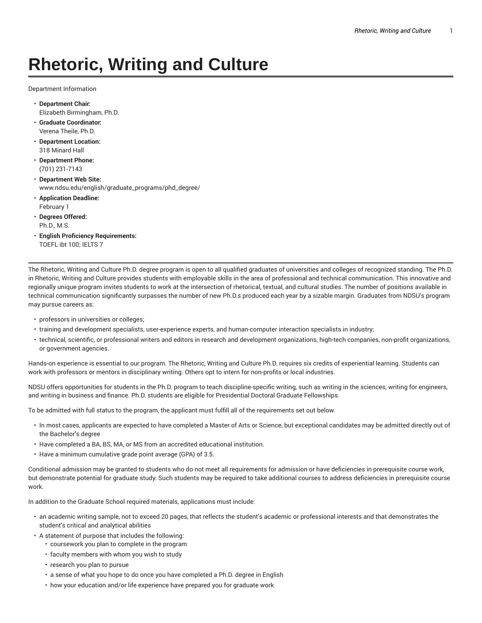# **Rhetoric, Writing and Culture**

Department Information

- **Department Chair:** Elizabeth Birmingham, Ph.D.
- **Graduate Coordinator:** Verena Theile, Ph.D.
- **Department Location:** 318 Minard Hall
- **Department Phone:** (701) 231-7143
- **Department Web Site:** www.ndsu.edu/english/graduate\_programs/phd\_degree/
- **Application Deadline:** February 1
- **Degrees Offered:** Ph.D., M.S.
- **English Proficiency Requirements:** TOEFL ibt 100; IELTS 7

The Rhetoric, Writing and Culture Ph.D. degree program is open to all qualified graduates of universities and colleges of recognized standing. The Ph.D. in Rhetoric, Writing and Culture provides students with employable skills in the area of professional and technical communication. This innovative and regionally unique program invites students to work at the intersection of rhetorical, textual, and cultural studies. The number of positions available in technical communication significantly surpasses the number of new Ph.D.s produced each year by a sizable margin. Graduates from NDSU's program may pursue careers as:

- professors in universities or colleges;
- training and development specialists, user-experience experts, and human-computer interaction specialists in industry;
- technical, scientific, or professional writers and editors in research and development organizations, high-tech companies, non-profit organizations, or government agencies.

Hands-on experience is essential to our program. The Rhetoric, Writing and Culture Ph.D. requires six credits of experiential learning. Students can work with professors or mentors in disciplinary writing. Others opt to intern for non-profits or local industries.

NDSU offers opportunities for students in the Ph.D. program to teach discipline-specific writing, such as writing in the sciences, writing for engineers, and writing in business and finance. Ph.D. students are eligible for Presidential Doctoral Graduate Fellowships.

To be admitted with full status to the program, the applicant must fulfill all of the requirements set out below.

- In most cases, applicants are expected to have completed a Master of Arts or Science, but exceptional candidates may be admitted directly out of the Bachelor's degree
- Have completed a BA, BS, MA, or MS from an accredited educational institution.
- Have a minimum cumulative grade point average (GPA) of 3.5.

Conditional admission may be granted to students who do not meet all requirements for admission or have deficiencies in prerequisite course work, but demonstrate potential for graduate study. Such students may be required to take additional courses to address deficiencies in prerequisite course work.

In addition to the Graduate School required materials, applications must include:

- an academic writing sample, not to exceed 20 pages, that reflects the student's academic or professional interests and that demonstrates the student's critical and analytical abilities
- A statement of purpose that includes the following:
	- coursework you plan to complete in the program
	- faculty members with whom you wish to study
	- research you plan to pursue
	- a sense of what you hope to do once you have completed a Ph.D. degree in English
	- how your education and/or life experience have prepared you for graduate work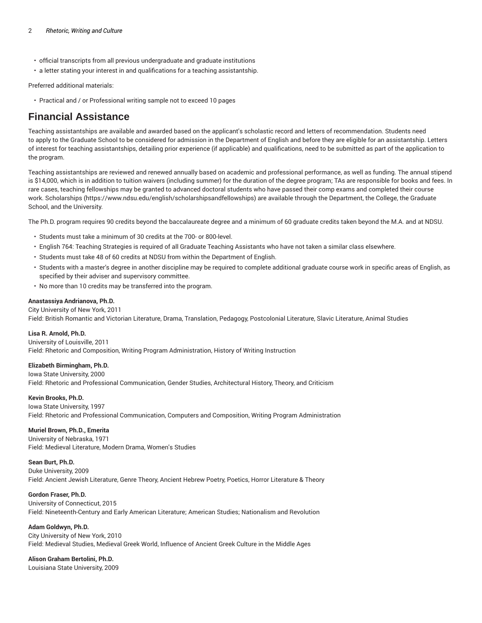- official transcripts from all previous undergraduate and graduate institutions
- a letter stating your interest in and qualifications for a teaching assistantship.

Preferred additional materials:

• Practical and / or Professional writing sample not to exceed 10 pages

# **Financial Assistance**

Teaching assistantships are available and awarded based on the applicant's scholastic record and letters of recommendation. Students need to apply to the Graduate School to be considered for admission in the Department of English and before they are eligible for an assistantship. Letters of interest for teaching assistantships, detailing prior experience (if applicable) and qualifications, need to be submitted as part of the application to the program.

Teaching assistantships are reviewed and renewed annually based on academic and professional performance, as well as funding. The annual stipend is \$14,000, which is in addition to tuition waivers (including summer) for the duration of the degree program; TAs are responsible for books and fees. In rare cases, teaching fellowships may be granted to advanced doctoral students who have passed their comp exams and completed their course work. Scholarships (https://www.ndsu.edu/english/scholarshipsandfellowships) are available through the Department, the College, the Graduate School, and the University.

The Ph.D. program requires 90 credits beyond the baccalaureate degree and a minimum of 60 graduate credits taken beyond the M.A. and at NDSU.

- Students must take a minimum of 30 credits at the 700- or 800-level.
- English 764: Teaching Strategies is required of all Graduate Teaching Assistants who have not taken a similar class elsewhere.
- Students must take 48 of 60 credits at NDSU from within the Department of English.
- Students with a master's degree in another discipline may be required to complete additional graduate course work in specific areas of English, as specified by their adviser and supervisory committee.
- No more than 10 credits may be transferred into the program.

#### **Anastassiya Andrianova, Ph.D.**

City University of New York, 2011 Field: British Romantic and Victorian Literature, Drama, Translation, Pedagogy, Postcolonial Literature, Slavic Literature, Animal Studies

#### **Lisa R. Arnold, Ph.D.**

University of Louisville, 2011 Field: Rhetoric and Composition, Writing Program Administration, History of Writing Instruction

#### **Elizabeth Birmingham, Ph.D.**

Iowa State University, 2000

Field: Rhetoric and Professional Communication, Gender Studies, Architectural History, Theory, and Criticism

**Kevin Brooks, Ph.D.** Iowa State University, 1997 Field: Rhetoric and Professional Communication, Computers and Composition, Writing Program Administration

# **Muriel Brown, Ph.D., Emerita**

University of Nebraska, 1971 Field: Medieval Literature, Modern Drama, Women's Studies

**Sean Burt, Ph.D.** Duke University, 2009 Field: Ancient Jewish Literature, Genre Theory, Ancient Hebrew Poetry, Poetics, Horror Literature & Theory

# **Gordon Fraser, Ph.D.**

University of Connecticut, 2015

Field: Nineteenth-Century and Early American Literature; American Studies; Nationalism and Revolution

**Adam Goldwyn, Ph.D.** City University of New York, 2010 Field: Medieval Studies, Medieval Greek World, Influence of Ancient Greek Culture in the Middle Ages

**Alison Graham Bertolini, Ph.D.** Louisiana State University, 2009